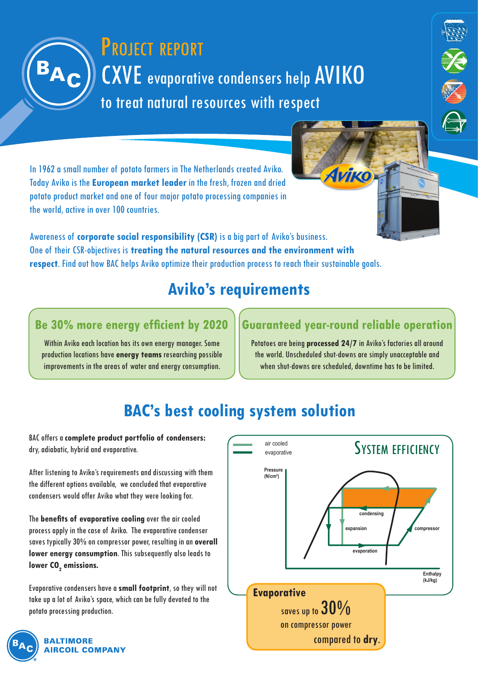# CXVE evaporative condensers help AVIKO to treat natural resources with respect PROJECT REPORT

In 1962 a small number of potato farmers in The Netherlands created Aviko. Today Aviko is the **European market leader** in the fresh, frozen and dried potato product market and one of four major potato processing companies in the world, active in over 100 countries.

Awareness of **corporate social responsibility (CSR)** is a big part of Aviko's business. One of their CSR-objectives is **treating the natural resources and the environment with respect**. Find out how BAC helps Aviko optimize their production process to reach their sustainable goals.

## **Aviko's requirements**

### **Be 30% more energy efficient by 2020**

Within Aviko each location has its own energy manager. Some production locations have **energy teams** researching possible improvements in the areas of water and energy consumption.

### **Guaranteed year-round reliable operation**

**Аитко** 

XX<br>XX

Potatoes are being **processed 24/7** in Aviko's factories all around the world. Unscheduled shut-downs are simply unacceptable and when shut-downs are scheduled, downtime has to be limited.

## **BAC's best cooling system solution**

BAC offers a **complete product portfolio of condensers:**  dry, adiabatic, hybrid and evaporative.

After listening to Aviko's requirements and discussing with them the different options available, we concluded that evaporative condensers would offer Aviko what they were looking for.

The **benefits of evaporative cooling** over the air cooled process apply in the case of Aviko. The evaporative condenser saves typically 30% on compressor power, resulting in an **overall lower energy consumption**. This subsequently also leads to lower CO<sub>2</sub> emissions.

Evaporative condensers have a **small footprint**, so they will not take up a lot of Aviko's space, which can be fully devoted to the potato processing production.





#### **BALTIMORE RCOIL COMPANY**